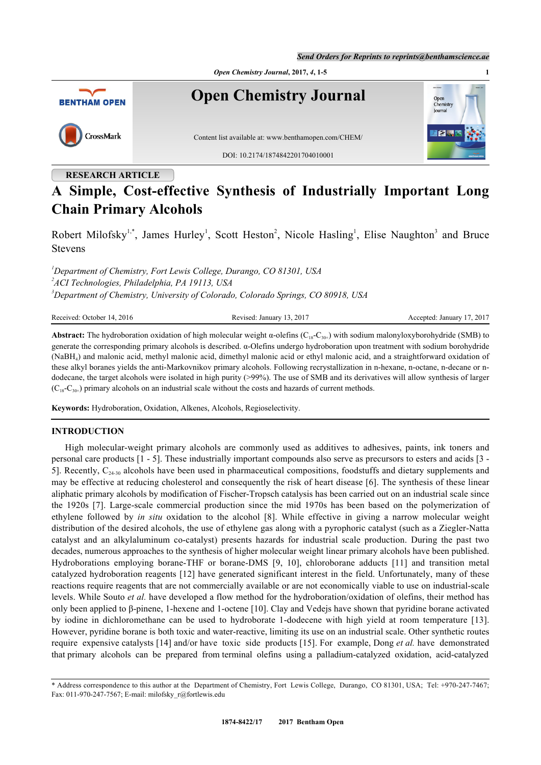*Send Orders for Reprints to reprints@benthamscience.ae*



# **RESEARCH ARTICLE**

# **A Simple, Cost-effective Synthesis of Industrially Important Long Chain Primary Alcohols**

Robert Milofsky<sup>[1](#page-0-0),[\\*](#page-0-1)</sup>, James Hurley<sup>1</sup>, Scott Heston<sup>[2](#page-0-2)</sup>, Nicole Hasling<sup>1</sup>, Elise Naughton<sup>[3](#page-0-3)</sup> and Bruce Stevens

<span id="page-0-3"></span><span id="page-0-2"></span><span id="page-0-0"></span>*<sup>1</sup>Department of Chemistry, Fort Lewis College, Durango, CO 81301, USA 2 ACI Technologies, Philadelphia, PA 19113, USA <sup>3</sup>Department of Chemistry, University of Colorado, Colorado Springs, CO 80918, USA*

Received: October 14, 2016 **Revised: January 13, 2017** Accepted: January 17, 2017

**Abstract:** The hydroboration oxidation of high molecular weight  $\alpha$ -olefins ( $C_{18}$ - $C_{30+}$ ) with sodium malonyloxyborohydride (SMB) to generate the corresponding primary alcohols is described. α-Olefins undergo hydroboration upon treatment with sodium borohydride (NaBH<sup>4</sup> ) and malonic acid, methyl malonic acid, dimethyl malonic acid or ethyl malonic acid, and a straightforward oxidation of these alkyl boranes yields the anti-Markovnikov primary alcohols. Following recrystallization in n-hexane, n-octane, n-decane or ndodecane, the target alcohols were isolated in high purity (>99%). The use of SMB and its derivatives will allow synthesis of larger  $(C_{18}-C_{30+})$  primary alcohols on an industrial scale without the costs and hazards of current methods.

**Keywords:** Hydroboration, Oxidation, Alkenes, Alcohols, Regioselectivity.

## **INTRODUCTION**

High molecular-weight primary alcohols are commonly used as additives to adhesives, paints, ink toners and personal care products [[1](#page-4-0) - [5\]](#page-4-1). These industrially important compounds also serve as precursors to esters and acids [[3](#page-4-2) - [5\]](#page-4-1). Recently,  $C_{24-30}$  alcohols have been used in pharmaceutical compositions, foodstuffs and dietary supplements and may be effective at reducing cholesterol and consequently the risk of heart disease [[6](#page-4-3)]. The synthesis of these linear aliphatic primary alcohols by modification of Fischer-Tropsch catalysis has been carried out on an industrial scale since the 1920s [\[7\]](#page-4-4). Large-scale commercial production since the mid 1970s has been based on the polymerization of ethylene followed by *in situ* oxidation to the alcohol [\[8](#page-4-5)]. While effective in giving a narrow molecular weight distribution of the desired alcohols, the use of ethylene gas along with a pyrophoric catalyst (such as a Ziegler-Natta catalyst and an alkylaluminum co-catalyst) presents hazards for industrial scale production. During the past two decades, numerous approaches to the synthesis of higher molecular weight linear primary alcohols have been published. Hydroborations employing borane-THF or borane-DMS[[9,](#page-4-6) [10](#page-4-7)], chloroborane adducts[[11\]](#page-4-8) and transition metal catalyzed hydroboration reagents [[12](#page-4-9)] have generated significant interest in the field. Unfortunately, many of these reactions require reagents that are not commercially available or are not economically viable to use on industrial-scale levels. While Souto *et al.* have developed a flow method for the hydroboration/oxidation of olefins, their method has only been applied to β-pinene, 1-hexene and 1-octene [[10\]](#page-4-7). Clay and Vedejs have shown that pyridine borane activated by iodine in dichloromethane can be used to hydroborate 1-dodecene with high yield at room temperature [\[13\]](#page-4-10). However, pyridine borane is both toxic and water-reactive, limiting its use on an industrial scale. Other synthetic routes require expensive catalysts [\[14](#page-4-11)] and/or have toxic side products [\[15](#page-4-12)]. For example, Dong *et al.* have demonstrated that primary alcohols can be prepared from terminal olefins using a palladium-catalyzed oxidation, acid-catalyzed

<span id="page-0-1"></span><sup>\*</sup> Address correspondence to this author at the Department of Chemistry, Fort Lewis College, Durango, CO 81301, USA; Tel: +970-247-7467; Fax: 011-970-247-7567; E-mail: [milofsky\\_r@fortlewis.edu](mailto:milofsky_r@fortlewis.edu)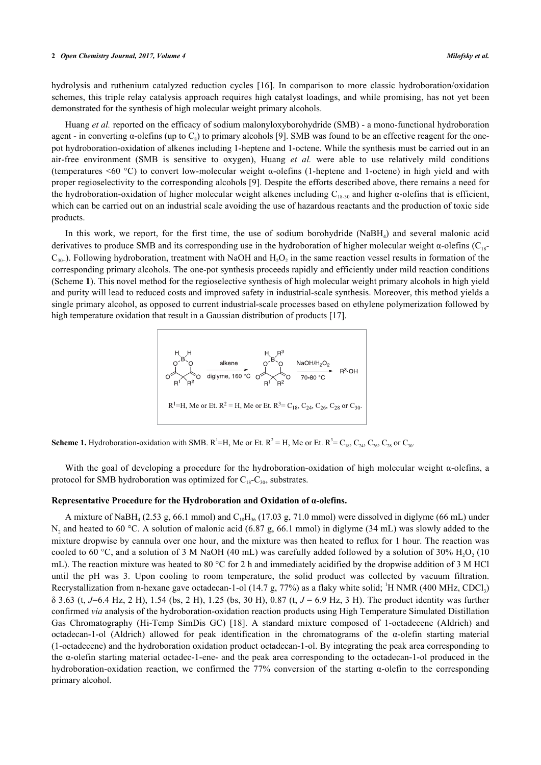#### **2** *Open Chemistry Journal, 2017, Volume 4 Milofsky et al.*

hydrolysis and ruthenium catalyzed reduction cycles [\[16\]](#page-4-13). In comparison to more classic hydroboration/oxidation schemes, this triple relay catalysis approach requires high catalyst loadings, and while promising, has not yet been demonstrated for the synthesis of high molecular weight primary alcohols.

Huang *et al.* reported on the efficacy of sodium malonyloxyborohydride (SMB) - a mono-functional hydroboration agent - in converting  $\alpha$ -olefins (up to  $C_8$ ) to primary alcohols [[9\]](#page-4-6). SMB was found to be an effective reagent for the onepot hydroboration-oxidation of alkenes including 1-heptene and 1-octene. While the synthesis must be carried out in an air-free environment (SMB is sensitive to oxygen), Huang *et al.* were able to use relatively mild conditions (temperatures <60 °C) to convert low-molecular weight α-olefins (1-heptene and 1-octene) in high yield and with proper regioselectivity to the corresponding alcohols [\[9](#page-4-6)]. Despite the efforts described above, there remains a need for the hydroboration-oxidation of higher molecular weight alkenes including  $C_{18-30}$  and higher  $\alpha$ -olefins that is efficient, which can be carried out on an industrial scale avoiding the use of hazardous reactants and the production of toxic side products.

<span id="page-1-0"></span>In this work, we report, for the first time, the use of sodium borohydride (NaBH<sub>4</sub>) and several malonic acid derivatives to produce SMB and its corresponding use in the hydroboration of higher molecular weight  $\alpha$ -olefins (C<sub>18</sub>- $C_{30+}$ ). Following hydroboration, treatment with NaOH and  $H_2O_2$  in the same reaction vessel results in formation of the corresponding primary alcohols. The one-pot synthesis proceeds rapidly and efficiently under mild reaction conditions (Scheme **[1](#page-1-0)**). This novel method for the regioselective synthesis of high molecular weight primary alcohols in high yield and purity will lead to reduced costs and improved safety in industrial-scale synthesis. Moreover, this method yields a single primary alcohol, as opposed to current industrial-scale processes based on ethylene polymerization followed by high temperature oxidation that result in a Gaussian distribution of products [[17\]](#page-4-14).



**Scheme 1.** Hydroboration-oxidation with SMB.  $R^1=H$ , Me or Et.  $R^2 = H$ , Me or Et.  $R^3 = C_{18}$ ,  $C_{24}$ ,  $C_{26}$ ,  $C_{28}$  or  $C_{30}$ .

With the goal of developing a procedure for the hydroboration-oxidation of high molecular weight  $\alpha$ -olefins, a protocol for SMB hydroboration was optimized for  $C_{18}-C_{30+}$  substrates.

## **Representative Procedure for the Hydroboration and Oxidation of α-olefins.**

A mixture of NaBH<sub>4</sub> (2.53 g, 66.1 mmol) and  $C_{18}H_{36}$  (17.03 g, 71.0 mmol) were dissolved in diglyme (66 mL) under  $N_2$  and heated to 60 °C. A solution of malonic acid (6.87 g, 66.1 mmol) in diglyme (34 mL) was slowly added to the mixture dropwise by cannula over one hour, and the mixture was then heated to reflux for 1 hour. The reaction was cooled to 60 °C, and a solution of 3 M NaOH (40 mL) was carefully added followed by a solution of 30%  $\rm H_2O_2$  (10 mL). The reaction mixture was heated to 80 °C for 2 h and immediately acidified by the dropwise addition of 3 M HCl until the pH was 3. Upon cooling to room temperature, the solid product was collected by vacuum filtration. Recrystallization from n-hexane gave octadecan-1-ol (14.7 g, 77%) as a flaky white solid; <sup>1</sup>H NMR (400 MHz, CDCl<sub>3</sub>) δ 3.63 (t, *J*=6.4 Hz, 2 H), 1.54 (bs, 2 H), 1.25 (bs, 30 H), 0.87 (t, *J* = 6.9 Hz, 3 H). The product identity was further confirmed *via* analysis of the hydroboration-oxidation reaction products using High Temperature Simulated Distillation Gas Chromatography (Hi-Temp SimDis GC) [\[18\]](#page-4-15). A standard mixture composed of 1-octadecene (Aldrich) and octadecan-1-ol (Aldrich) allowed for peak identification in the chromatograms of the  $\alpha$ -olefin starting material (1-octadecene) and the hydroboration oxidation product octadecan-1-ol. By integrating the peak area corresponding to the α-olefin starting material octadec-1-ene- and the peak area corresponding to the octadecan-1-ol produced in the hydroboration-oxidation reaction, we confirmed the 77% conversion of the starting α-olefin to the corresponding primary alcohol.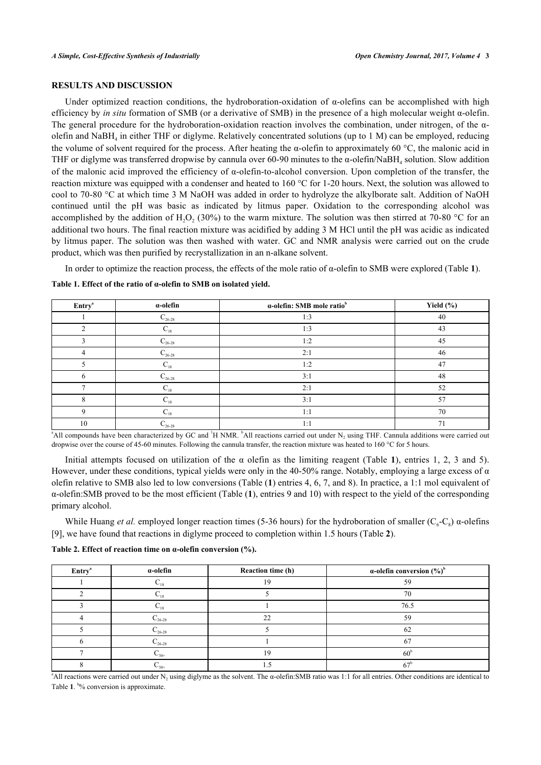# **RESULTS AND DISCUSSION**

Under optimized reaction conditions, the hydroboration-oxidation of  $\alpha$ -olefins can be accomplished with high efficiency by *in situ* formation of SMB (or a derivative of SMB) in the presence of a high molecular weight α-olefin. The general procedure for the hydroboration-oxidation reaction involves the combination, under nitrogen, of the  $\alpha$ olefin and NaBH<sub>4</sub> in either THF or diglyme. Relatively concentrated solutions (up to 1 M) can be employed, reducing the volume of solvent required for the process. After heating the  $\alpha$ -olefin to approximately 60 °C, the malonic acid in THF or diglyme was transferred dropwise by cannula over 60-90 minutes to the  $\alpha$ -olefin/NaBH<sub>4</sub> solution. Slow addition of the malonic acid improved the efficiency of  $\alpha$ -olefin-to-alcohol conversion. Upon completion of the transfer, the reaction mixture was equipped with a condenser and heated to 160 °C for 1-20 hours. Next, the solution was allowed to cool to 70-80 °C at which time 3 M NaOH was added in order to hydrolyze the alkylborate salt. Addition of NaOH continued until the pH was basic as indicated by litmus paper. Oxidation to the corresponding alcohol was accomplished by the addition of  $H_2O_2$  (30%) to the warm mixture. The solution was then stirred at 70-80 °C for an additional two hours. The final reaction mixture was acidified by adding 3 M HCl until the pH was acidic as indicated by litmus paper. The solution was then washed with water. GC and NMR analysis were carried out on the crude product, which was then purified by recrystallization in an n-alkane solvent.

In order to optimize the reaction process, the effects of the mole ratio of α-olefin to SMB were explored (Table **[1](#page-2-0)**).

| <b>Entry</b> <sup>a</sup> | $\alpha$ -olefin  | a-olefin: SMB mole ratio <sup>b</sup> | Yield (%) |
|---------------------------|-------------------|---------------------------------------|-----------|
|                           | $C_{26-28}$       | 1:3                                   | 40        |
|                           | $C_{18}$          | 1:3                                   | 43        |
|                           | $C_{26-28}$       | 1:2                                   | 45        |
|                           | $C_{26-28}$       | 2:1                                   | 46        |
|                           | $\mathrm{C_{18}}$ | 1:2                                   | 47        |
|                           | $C_{26-28}$       | 3:1                                   | 48        |
|                           | $C_{18}$          | 2:1                                   | 52        |
|                           | $\mathrm{C_{18}}$ | 3:1                                   | 57        |
| Q                         | $\mathrm{C_{18}}$ | 1:1                                   | 70        |
| 10                        | $C_{26-28}$       | 1:1                                   | 71        |

<span id="page-2-0"></span>**Table 1. Effect of the ratio of α-olefin to SMB on isolated yield.**

<sup>a</sup>All compounds have been characterized by GC and <sup>1</sup>H NMR.  $^{\text{b}}$ All reactions carried out under N<sub>2</sub> using THF. Cannula additions were carried out dropwise over the course of 45-60 minutes. Following the cannula transfer, the reaction mixture was heated to 160 °C for 5 hours.

Initial attempts focused on utilization of the α olefin as the limiting reagent (Table**1**), entries 1, 2, 3 and 5). However, under these conditions, typical yields were only in the 40-50% range. Notably, employing a large excess of  $\alpha$ olefin relative to SMB also led to low conversions (Table (**[1](#page-2-0)**) entries 4, 6, 7, and 8). In practice, a 1:1 mol equivalent of α-olefin:SMB proved to be the most efficient (Table (**[1](#page-2-0)**), entries 9 and 10) with respect to the yield of the corresponding primary alcohol.

While Huang *et al.* employed longer reaction times (5-36 hours) for the hydroboration of smaller ( $C_6-C_8$ )  $\alpha$ -olefins [\[9](#page-4-6)], we have found that reactions in diglyme proceed to completion within 1.5 hours (Table **[2](#page-2-1)**).

<span id="page-2-1"></span>**Table 2. Effect of reaction time on α-olefin conversion (%).**

| Entry <sup>ª</sup> | $\alpha$ -olefin   | Reaction time (h) | $\alpha$ -olefin conversion $(\%)^b$ |
|--------------------|--------------------|-------------------|--------------------------------------|
|                    | $\mathcal{L}_{18}$ | 19                | 59                                   |
|                    | $\mathbf{v}_{18}$  |                   | 70                                   |
|                    | $\sim$ 18          |                   | 76.5                                 |
|                    | $C_{26-28}$        | $\mathcal{D}$     | 59                                   |
|                    | $C_{26-28}$        |                   | -62                                  |
|                    | $C_{26-28}$        |                   | 67                                   |
|                    | $C_{30+}$          | 10                | 60                                   |
|                    | $C_{30+}$          |                   | 67                                   |

<sup>a</sup>All reactions were carried out under N<sub>2</sub> using diglyme as the solvent. The  $\alpha$ -olefin:SMB ratio was 1:1 for all entries. Other conditions are identical to Table [1](#page-2-0). <sup>b</sup>% conversion is approximate.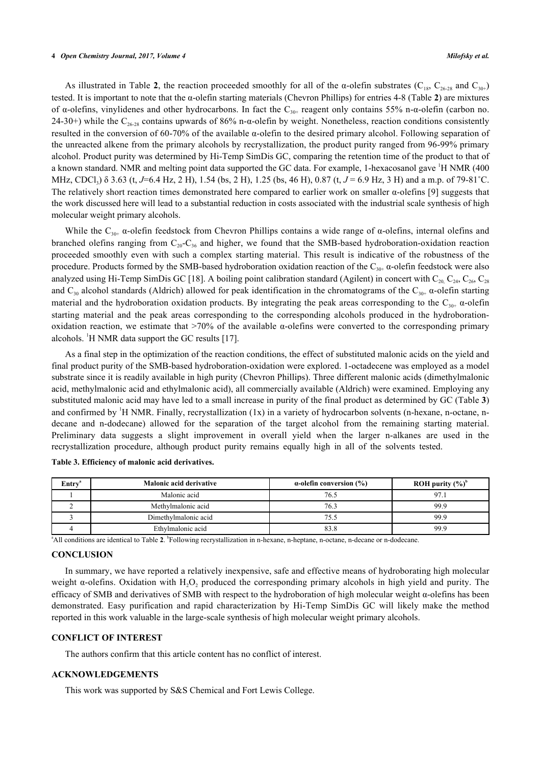#### **4** *Open Chemistry Journal, 2017, Volume 4 Milofsky et al.*

As illustrated in Table **[2](#page-2-1)**, the reaction proceeded smoothly for all of the  $\alpha$ -olefin substrates (C<sub>18</sub>, C<sub>26-28</sub> and C<sub>30+</sub>) tested. It is important to note that the α-olefin starting materials (Chevron Phillips) for entries 4-8 (Table **[2](#page--1-0)**) are mixtures of α-olefins, vinylidenes and other hydrocarbons. In fact the C<sub>30+</sub> reagent only contains 55% n-α-olefin (carbon no. 24-30+) while the  $C_{26-28}$  contains upwards of 86% n- $\alpha$ -olefin by weight. Nonetheless, reaction conditions consistently resulted in the conversion of 60-70% of the available α-olefin to the desired primary alcohol. Following separation of the unreacted alkene from the primary alcohols by recrystallization, the product purity ranged from 96-99% primary alcohol. Product purity was determined by Hi-Temp SimDis GC, comparing the retention time of the product to that of a known standard. NMR and melting point data supported the GC data. For example, 1-hexacosanol gave <sup>1</sup>H NMR (400 MHz, CDCl<sub>3</sub>) δ 3.63 (t, *J*=6.4 Hz, 2 H), 1.54 (bs, 2 H), 1.25 (bs, 46 H), 0.87 (t, *J* = 6.9 Hz, 3 H) and a m.p. of 79-81<sup>°</sup>C. The relatively short reaction times demonstrated here compared to earlier work on smaller  $\alpha$ -olefins [[9\]](#page-4-6) suggests that the work discussed here will lead to a substantial reduction in costs associated with the industrial scale synthesis of high molecular weight primary alcohols.

While the C<sub>30+</sub>  $\alpha$ -olefin feedstock from Chevron Phillips contains a wide range of  $\alpha$ -olefins, internal olefins and branched olefins ranging from  $C_{20}-C_{36}$  and higher, we found that the SMB-based hydroboration-oxidation reaction proceeded smoothly even with such a complex starting material. This result is indicative of the robustness of the procedure. Products formed by the SMB-based hydroboration oxidation reaction of the C<sub>30+</sub> α-olefin feedstock were also analyzed using Hi-Temp SimDis GC [\[18](#page-4-15)]. A boiling point calibration standard (Agilent) in concert with  $C_{20}$ ,  $C_{24}$ ,  $C_{26}$ ,  $C_{28}$ and  $C_{30}$  alcohol standards (Aldrich) allowed for peak identification in the chromatograms of the  $C_{30+}$   $\alpha$ -olefin starting material and the hydroboration oxidation products. By integrating the peak areas corresponding to the  $C_{30+}$   $\alpha$ -olefin starting material and the peak areas corresponding to the corresponding alcohols produced in the hydroborationoxidation reaction, we estimate that  $>70\%$  of the available  $\alpha$ -olefins were converted to the corresponding primary alcohols. <sup>1</sup>H NMR data support the GC results [\[17](#page-4-14)].

As a final step in the optimization of the reaction conditions, the effect of substituted malonic acids on the yield and final product purity of the SMB-based hydroboration-oxidation were explored. 1-octadecene was employed as a model substrate since it is readily available in high purity (Chevron Phillips). Three different malonic acids (dimethylmalonic acid, methylmalonic acid and ethylmalonic acid), all commercially available (Aldrich) were examined. Employing any substituted malonic acid may have led to a small increase in purity of the final product as determined by GC (Table **[3](#page-3-0)**) and confirmed by  $H NMR$ . Finally, recrystallization  $(1x)$  in a variety of hydrocarbon solvents (n-hexane, n-octane, ndecane and n-dodecane) allowed for the separation of the target alcohol from the remaining starting material. Preliminary data suggests a slight improvement in overall yield when the larger n-alkanes are used in the recrystallization procedure, although product purity remains equally high in all of the solvents tested.

| $\rm Entrya$ | <b>Malonic acid derivative</b> | $\alpha$ -olefin conversion (%) | ROH purity $(\%)^b$ |
|--------------|--------------------------------|---------------------------------|---------------------|
|              | Malonic acid                   | 76.5                            | 97.1                |
|              | Methylmalonic acid             | 76.3                            | 99.9                |
|              | Dimethylmalonic acid           | 75.5                            | 99.9                |
|              | Ethylmalonic acid              | 83.8                            | 99.9                |

<span id="page-3-0"></span>

|  |  | Table 3. Efficiency of malonic acid derivatives. |
|--|--|--------------------------------------------------|
|  |  |                                                  |

<sup>a</sup>All conditions are identical to Table [2](#page-2-1). <sup>b</sup>Following recrystallization in n-hexane, n-heptane, n-octane, n-decane or n-dodecane.

## **CONCLUSION**

In summary, we have reported a relatively inexpensive, safe and effective means of hydroborating high molecular weight  $\alpha$ -olefins. Oxidation with H<sub>2</sub>O<sub>2</sub> produced the corresponding primary alcohols in high yield and purity. The efficacy of SMB and derivatives of SMB with respect to the hydroboration of high molecular weight α-olefins has been demonstrated. Easy purification and rapid characterization by Hi-Temp SimDis GC will likely make the method reported in this work valuable in the large-scale synthesis of high molecular weight primary alcohols.

### **CONFLICT OF INTEREST**

The authors confirm that this article content has no conflict of interest.

# **ACKNOWLEDGEMENTS**

This work was supported by S&S Chemical and Fort Lewis College.